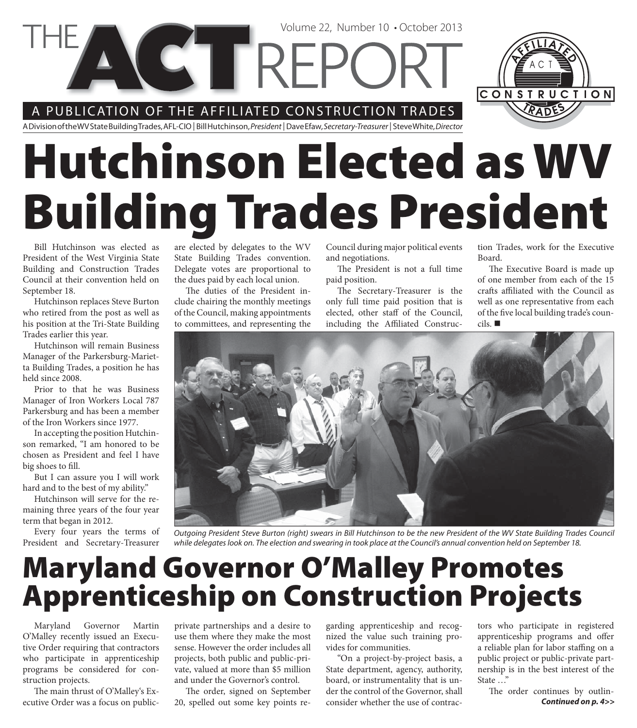### A PUBLICATION OF THE AFFILIATED CONSTRUCTION TRADES

**VETTREPC** 

A Division of the WV State Building Trades, AFL-CIO | Bill Hutchinson, President | Dave Efaw, Secretary-Treasurer | Steve White, Director

# **Hutchinson Elected as WV Building Trades President**

Bill Hutchinson was elected as President of the West Virginia State Building and Construction Trades Council at their convention held on September 18.

Hutchinson replaces Steve Burton who retired from the post as well as his position at the Tri-State Building Trades earlier this year.

Hutchinson will remain Business Manager of the Parkersburg-Marietta Building Trades, a position he has held since 2008.

Prior to that he was Business Manager of Iron Workers Local 787 Parkersburg and has been a member of the Iron Workers since 1977.

In accepting the position Hutchinson remarked, "I am honored to be chosen as President and feel I have big shoes to fill.

But I can assure you I will work hard and to the best of my ability."

Hutchinson will serve for the remaining three years of the four year term that began in 2012.

Every four years the terms of President and Secretary-Treasurer are elected by delegates to the WV State Building Trades convention. Delegate votes are proportional to the dues paid by each local union.

The duties of the President include chairing the monthly meetings of the Council, making appointments to committees, and representing the

Council during major political events and negotiations.

The President is not a full time paid position.

The Secretary-Treasurer is the only full time paid position that is elected, other staff of the Council, including the Affiliated Construction Trades, work for the Executive Board.

CONSTRUCTION

The Executive Board is made up of one member from each of the 15 crafts affiliated with the Council as well as one representative from each of the five local building trade's councils.



Outgoing President Steve Burton (right) swears in Bill Hutchinson to be the new President of the WV State Building Trades Council while delegates look on. The election and swearing in took place at the Council's annual convention held on September 18.

# **Maryland Governor O'Malley Promotes Apprenticeship on Construction Projects**

Maryland Governor Martin O'Malley recently issued an Executive Order requiring that contractors who participate in apprenticeship programs be considered for construction projects.

The main thrust of O'Malley's Executive Order was a focus on publicprivate partnerships and a desire to use them where they make the most sense. However the order includes all projects, both public and public-private, valued at more than \$5 million and under the Governor's control.

The order, signed on September 20, spelled out some key points regarding apprenticeship and recognized the value such training provides for communities.

"On a project-by-project basis, a State department, agency, authority, board, or instrumentality that is under the control of the Governor, shall consider whether the use of contrac-

tors who participate in registered apprenticeship programs and offer a reliable plan for labor staffing on a public project or public-private partnership is in the best interest of the State …"

The order continues by outlin-*Continued on p. 4>>*

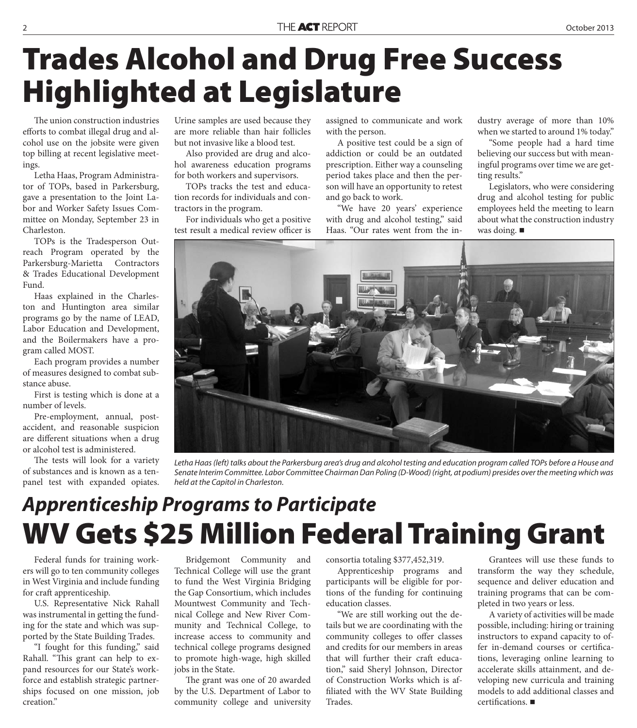# **Trades Alcohol and Drug Free Success Highlighted at Legislature**

The union construction industries efforts to combat illegal drug and alcohol use on the jobsite were given top billing at recent legislative meetings.

Letha Haas, Program Administrator of TOPs, based in Parkersburg, gave a presentation to the Joint Labor and Worker Safety Issues Committee on Monday, September 23 in Charleston.

TOPs is the Tradesperson Outreach Program operated by the Parkersburg-Marietta Contractors & Trades Educational Development Fund.

Haas explained in the Charleston and Huntington area similar programs go by the name of LEAD, Labor Education and Development, and the Boilermakers have a program called MOST.

Each program provides a number of measures designed to combat substance abuse.

First is testing which is done at a number of levels.

Pre-employment, annual, postaccident, and reasonable suspicion are different situations when a drug or alcohol test is administered.

The tests will look for a variety of substances and is known as a tenpanel test with expanded opiates. Urine samples are used because they are more reliable than hair follicles but not invasive like a blood test.

Also provided are drug and alcohol awareness education programs for both workers and supervisors.

TOPs tracks the test and education records for individuals and contractors in the program.

For individuals who get a positive test result a medical review officer is

assigned to communicate and work with the person.

A positive test could be a sign of addiction or could be an outdated prescription. Either way a counseling period takes place and then the person will have an opportunity to retest and go back to work.

"We have 20 years' experience with drug and alcohol testing," said Haas. "Our rates went from the industry average of more than 10% when we started to around 1% today."

"Some people had a hard time believing our success but with meaningful programs over time we are getting results."

Legislators, who were considering drug and alcohol testing for public employees held the meeting to learn about what the construction industry was doing.



Letha Haas (left) talks about the Parkersburg area's drug and alcohol testing and education program called TOPs before a House and Senate Interim Committee. Labor Committee Chairman Dan Poling (D-Wood) (right, at podium) presides over the meeting which was held at the Capitol in Charleston.

## **WV Gets \$25 Million Federal Training Grant** *Apprenticeship Programs to Participate*

Federal funds for training workers will go to ten community colleges in West Virginia and include funding for craft apprenticeship.

U.S. Representative Nick Rahall was instrumental in getting the funding for the state and which was supported by the State Building Trades.

"I fought for this funding," said Rahall. "This grant can help to expand resources for our State's workforce and establish strategic partnerships focused on one mission, job creation."

Bridgemont Community and Technical College will use the grant to fund the West Virginia Bridging the Gap Consortium, which includes Mountwest Community and Technical College and New River Community and Technical College, to increase access to community and technical college programs designed to promote high-wage, high skilled jobs in the State.

The grant was one of 20 awarded by the U.S. Department of Labor to community college and university

consortia totaling \$377,452,319.

Apprenticeship programs and participants will be eligible for portions of the funding for continuing education classes.

"We are still working out the details but we are coordinating with the community colleges to offer classes and credits for our members in areas that will further their craft education," said Sheryl Johnson, Director of Construction Works which is affiliated with the WV State Building Trades.

Grantees will use these funds to transform the way they schedule, sequence and deliver education and training programs that can be completed in two years or less.

A variety of activities will be made possible, including: hiring or training instructors to expand capacity to offer in-demand courses or certifications, leveraging online learning to accelerate skills attainment, and developing new curricula and training models to add additional classes and  $certifications.$  $\blacksquare$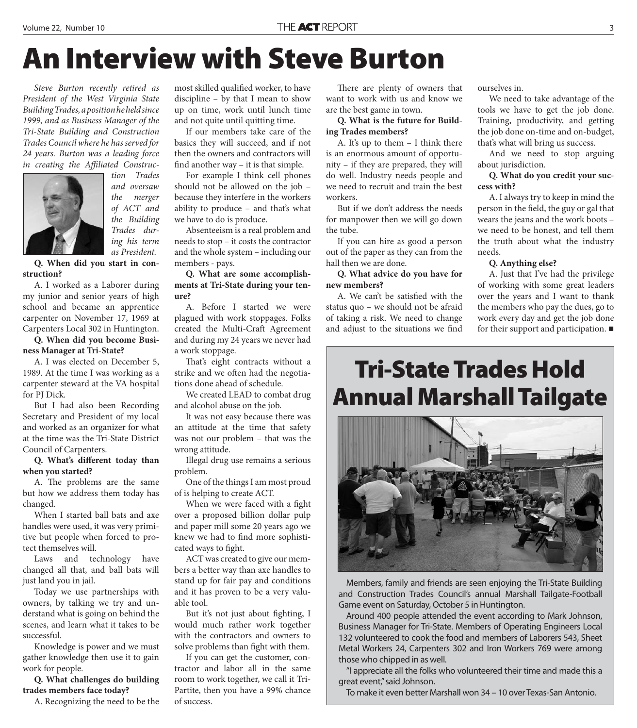# **An Interview with Steve Burton**

*Steve Burton recently retired as President of the West Virginia State Building Trades, a position he held since 1999, and as Business Manager of the Tri-State Building and Construction Trades Council where he has served for 24 years. Burton was a leading force*  in creating the Affiliated Construc-



*tion Trades and oversaw the merger of ACT and the Building Trades during his term as President.*

**Q. When did you start in construction?**

A. I worked as a Laborer during my junior and senior years of high school and became an apprentice carpenter on November 17, 1969 at Carpenters Local 302 in Huntington.

**Q. When did you become Business Manager at Tri-State?**

A. I was elected on December 5, 1989. At the time I was working as a carpenter steward at the VA hospital for PJ Dick.

But I had also been Recording Secretary and President of my local and worked as an organizer for what at the time was the Tri-State District Council of Carpenters.

**Q.** What's different today than **when you started?**

A. The problems are the same but how we address them today has changed.

When I started ball bats and axe handles were used, it was very primitive but people when forced to protect themselves will.

Laws and technology have changed all that, and ball bats will just land you in jail.

Today we use partnerships with owners, by talking we try and understand what is going on behind the scenes, and learn what it takes to be successful.

Knowledge is power and we must gather knowledge then use it to gain work for people.

**Q. What challenges do building trades members face today?**

A. Recognizing the need to be the

most skilled qualified worker, to have discipline – by that I mean to show up on time, work until lunch time and not quite until quitting time.

If our members take care of the basics they will succeed, and if not then the owners and contractors will find another way – it is that simple.

For example I think cell phones should not be allowed on the job – because they interfere in the workers ability to produce – and that's what we have to do is produce.

Absenteeism is a real problem and needs to stop – it costs the contractor and the whole system – including our members - pays.

**Q. What are some accomplishments at Tri-State during your tenure?**

A. Before I started we were plagued with work stoppages. Folks created the Multi-Craft Agreement and during my 24 years we never had a work stoppage.

That's eight contracts without a strike and we often had the negotiations done ahead of schedule.

We created LEAD to combat drug and alcohol abuse on the job.

It was not easy because there was an attitude at the time that safety was not our problem – that was the wrong attitude.

Illegal drug use remains a serious problem.

One of the things I am most proud of is helping to create ACT.

When we were faced with a fight over a proposed billion dollar pulp and paper mill some 20 years ago we knew we had to find more sophisticated ways to fight.

ACT was created to give our members a better way than axe handles to stand up for fair pay and conditions and it has proven to be a very valuable tool.

But it's not just about fighting, I would much rather work together with the contractors and owners to solve problems than fight with them.

If you can get the customer, contractor and labor all in the same room to work together, we call it Tri-Partite, then you have a 99% chance of success.

There are plenty of owners that want to work with us and know we are the best game in town.

**Q. What is the future for Building Trades members?**

A. It's up to them  $-$  I think there is an enormous amount of opportunity – if they are prepared, they will do well. Industry needs people and we need to recruit and train the best workers.

But if we don't address the needs for manpower then we will go down the tube.

If you can hire as good a person out of the paper as they can from the hall then we are done.

**Q. What advice do you have for new members?**

A. We can't be satisfied with the status quo – we should not be afraid of taking a risk. We need to change and adjust to the situations we find

ourselves in.

We need to take advantage of the tools we have to get the job done. Training, productivity, and getting the job done on-time and on-budget, that's what will bring us success.

And we need to stop arguing about jurisdiction.

**Q. What do you credit your success with?**

A. I always try to keep in mind the person in the field, the guy or gal that wears the jeans and the work boots – we need to be honest, and tell them the truth about what the industry needs.

#### **Q. Anything else?**

A. Just that I've had the privilege of working with some great leaders over the years and I want to thank the members who pay the dues, go to work every day and get the job done for their support and participation.

### **Tri-State Trades Hold Annual Marshall Tailgate**



Members, family and friends are seen enjoying the Tri-State Building and Construction Trades Council's annual Marshall Tailgate-Football Game event on Saturday, October 5 in Huntington.

Around 400 people attended the event according to Mark Johnson, Business Manager for Tri-State. Members of Operating Engineers Local 132 volunteered to cook the food and members of Laborers 543, Sheet Metal Workers 24, Carpenters 302 and Iron Workers 769 were among those who chipped in as well.

"I appreciate all the folks who volunteered their time and made this a great event," said Johnson.

To make it even better Marshall won 34 – 10 over Texas-San Antonio.